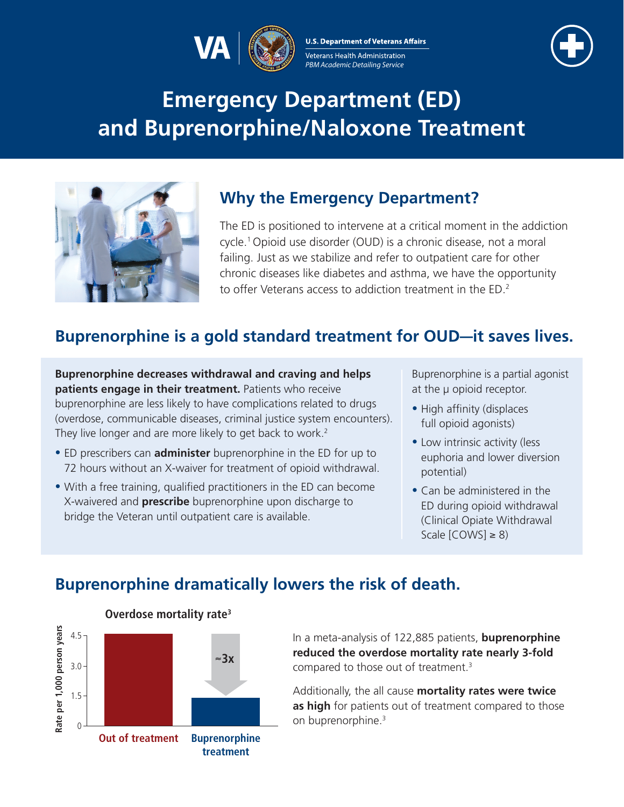

**U.S. Department of Veterans Affairs** Veterans Health Administration PBM Academic Detailing Service



# **Emergency Department (ED) and Buprenorphine/Naloxone Treatment**



# **Why the Emergency Department?**

The ED is positioned to intervene at a critical moment in the addiction cycle.[1](#page-3-0) Opioid use disorder (OUD) is a chronic disease, not a moral failing. Just as we stabilize and refer to outpatient care for other chronic diseases like diabetes and asthma, we have the opportunity to offer Veterans access to addiction treatment in the ED. [2](#page-3-1)

# **Buprenorphine is a gold standard treatment for OUD—it saves lives.**

**Buprenorphine decreases withdrawal and craving and helps patients engage in their treatment.** Patients who receive buprenorphine are less likely to have complications related to drugs (overdose, communicable diseases, criminal justice system encounters). They live longer and are more likely to get back to work.<sup>2</sup>

- ED prescribers can **administer** buprenorphine in the ED for up to 72 hours without an X-waiver for treatment of opioid withdrawal.
- With a free training, qualified practitioners in the ED can become X-waivered and **prescribe** buprenorphine upon discharge to bridge the Veteran until outpatient care is available.

Buprenorphine is a partial agonist at the μ opioid receptor.

- High affinity (displaces full opioid agonists)
- Low intrinsic activity (less euphoria and lower diversion potential)
- Can be administered in the ED during opioid withdrawal (Clinical Opiate Withdrawal Scale  $[COWS] \geq 8$ )

# **Buprenorphine dramatically lowers the risk of death.**



**Overdose mortality rat[e3](#page-3-2)** 

In a meta-analysis of 122,885 patients, **buprenorphine reduced the overdose mortality rate nearly 3-fold**  compared to those out of treatment.[3](#page-3-2) 

Additionally, the all cause **mortality rates were twice as high** for patients out of treatment compared to those on buprenorphine.<sup>3</sup>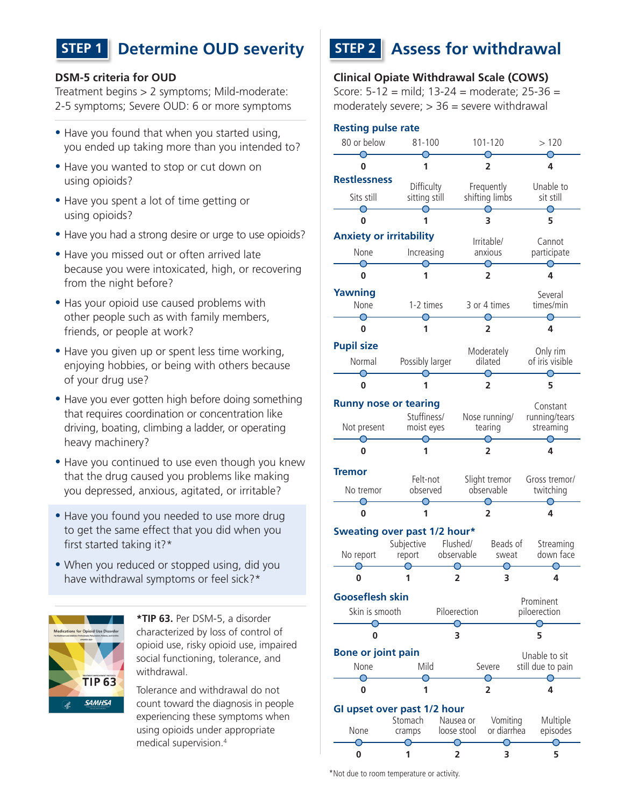# **STEP 1 Determine OUD severity STEP 2 Assess for withdrawal**

#### **DSM-5 criteria for OUD**

Treatment begins > 2 symptoms; Mild-moderate: 2-5 symptoms; Severe OUD: 6 or more symptoms

- Have you found that when you started using, you ended up taking more than you intended to?
- Have you wanted to stop or cut down on using opioids?
- Have you spent a lot of time getting or using opioids?
- Have you had a strong desire or urge to use opioids?
- Have you missed out or often arrived late because you were intoxicated, high, or recovering from the night before?
- Has your opioid use caused problems with other people such as with family members, friends, or people at work?
- Have you given up or spent less time working, enjoying hobbies, or being with others because of your drug use?
- Have you ever gotten high before doing something that requires coordination or concentration like driving, boating, climbing a ladder, or operating heavy machinery?
- Have you continued to use even though you knew that the drug caused you problems like making you depressed, anxious, agitated, or irritable?
- Have you found you needed to use more drug to get the same effect that you did when you first started taking it[?\\*](#page-1-1)
- When you reduced or stopped using, did you have withdrawal symptoms or feel sick?[\\*](#page-1-1)



<span id="page-1-1"></span>**\*TIP 63.** Per DSM-5, a disorder characterized by loss of control of opioid use, risky opioid use, impaired social functioning, tolerance, and withdrawal.

Tolerance and withdrawal do not count toward the diagnosis in people experiencing these symptoms when using opioids under appropriate medical supervision.[4](#page-3-3) 

#### **Clinical Opiate Withdrawal Scale (COWS)**

Score: 5-12 = mild; 13-24 = moderate; 25-36 = moderately severe;  $>$  36 = severe withdrawal

### **Resting pulse rate**

| Resung puise rate              |                           |                                   |                             |                         |                             |
|--------------------------------|---------------------------|-----------------------------------|-----------------------------|-------------------------|-----------------------------|
| 80 or below                    | $81 - 100$                |                                   | 101-120                     |                         | >120                        |
| U                              | 1                         |                                   | 2                           |                         | 4                           |
| <b>Restlessness</b>            | Difficulty                |                                   |                             | Frequently              | Unable to                   |
| Sits still                     | sitting still             |                                   | shifting limbs              |                         | sit still                   |
| ∩<br>0                         |                           |                                   | 3                           |                         | 5                           |
| <b>Anxiety or irritability</b> |                           | Irritable/                        |                             | Cannot                  |                             |
| None                           | Increasing                |                                   |                             | anxious                 | participate                 |
| 0                              | 1                         |                                   | $\overline{2}$              |                         | 4                           |
| <b>Yawning</b>                 |                           |                                   |                             |                         | Several                     |
| None                           | 1-2 times                 |                                   | 3 or 4 times                |                         | times/min                   |
| ∩<br>0                         | 1                         |                                   | 2                           |                         | 4                           |
| <b>Pupil size</b>              |                           |                                   |                             |                         |                             |
| Normal                         | Possibly larger           |                                   | Moderately<br>dilated       |                         | Only rim<br>of iris visible |
| 0                              | 1                         |                                   | 2                           |                         | 5                           |
| <b>Runny nose or tearing</b>   |                           |                                   |                             |                         | Constant                    |
| Not present                    | Stuffiness/<br>moist eyes |                                   | Nose running/<br>tearing    |                         | running/tears<br>streaming  |
| 0                              | 1                         |                                   | ∩<br>2                      |                         | 4                           |
| Tremor                         |                           |                                   |                             |                         |                             |
| No tremor                      | Felt-not<br>observed      |                                   | Slight tremor<br>observable |                         | Gross tremor/<br>twitching  |
| 0                              |                           |                                   | 2                           |                         | 4                           |
| Sweating over past 1/2 hour*   |                           |                                   |                             |                         |                             |
| No report                      | report                    | Subjective Flushed/<br>observable |                             | Beads of<br>sweat       | Streaming<br>down face      |
| 0                              | 1                         |                                   | 2                           | 3                       | 4                           |
| <b>Gooseflesh skin</b>         |                           |                                   |                             |                         | Prominent                   |
| Skin is smooth                 | Piloerection              |                                   |                             |                         | piloerection                |
| 0                              |                           |                                   | 3                           |                         | 5                           |
| <b>Bone or joint pain</b>      |                           |                                   |                             |                         | Unable to sit               |
| None                           | Mild                      |                                   | Severe                      |                         | still due to pain           |
| 0                              | 1                         |                                   | 2                           |                         | 4                           |
| GI upset over past 1/2 hour    |                           |                                   |                             |                         |                             |
| None                           | Stomach<br>cramps         |                                   | Nausea or<br>loose stool    | Vomiting<br>or diarrhea | Multiple<br>episodes        |
| 0                              | 1                         |                                   | 2                           | 3                       | 5                           |

<span id="page-1-0"></span>\*Not due to room temperature or activity.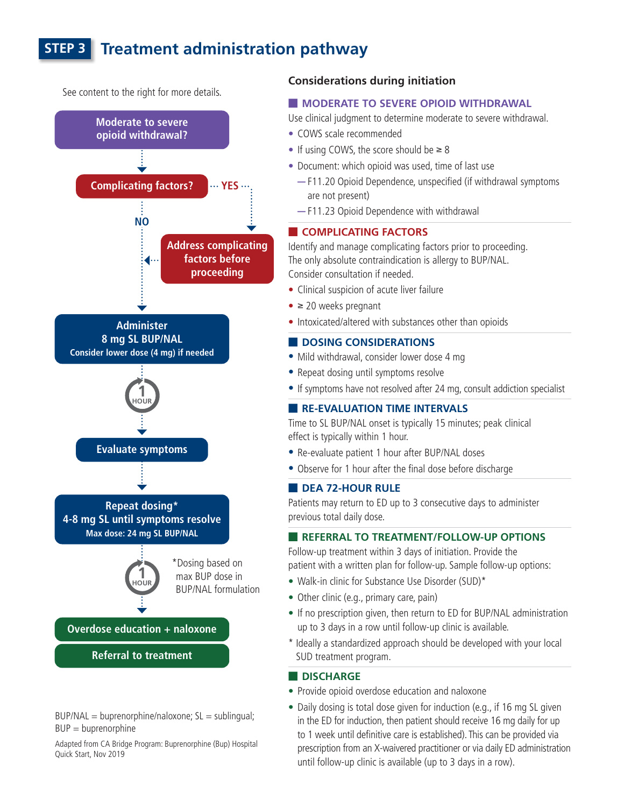# **STEP 3 Treatment administration pathway**



 $BUP/NAL = buperenorphic/naloxone; SL = sublingual;$  $BUP = b$ uprenorphine

Adapted from CA Bridge Program: Buprenorphine (Bup) Hospital Quick Start, Nov 2019

#### **Considerations during initiation**

#### **E MODERATE TO SEVERE OPIOID WITHDRAWAL**

Use clinical judgment to determine moderate to severe withdrawal.

- COWS scale recommended
- If using COWS, the score should be  $\geq 8$
- Document: which opioid was used, time of last use
	- F11.20 Opioid Dependence, unspecified (if withdrawal symptoms are not present)
	- F11.23 Opioid Dependence with withdrawal

#### **E** COMPLICATING FACTORS

Identify and manage complicating factors prior to proceeding. The only absolute contraindication is allergy to BUP/NAL. Consider consultation if needed.

- Clinical suspicion of acute liver failure
- $\bullet$   $\geq$  20 weeks pregnant
- Intoxicated/altered with substances other than opioids

#### **DOSING CONSIDERATIONS**

- Mild withdrawal, consider lower dose 4 mg
- Repeat dosing until symptoms resolve
- If symptoms have not resolved after 24 mg, consult addiction specialist

#### **E** RE-EVALUATION TIME INTERVALS

Time to SL BUP/NAL onset is typically 15 minutes; peak clinical effect is typically within 1 hour.

- Re-evaluate patient 1 hour after BUP/NAL doses
- Observe for 1 hour after the final dose before discharge

#### **DEA 72-HOUR RULE**

Patients may return to ED up to 3 consecutive days to administer previous total daily dose.

#### **EXPLOSE THE REFERRAL TO TREATMENT/FOLLOW-UP OPTIONS**

<span id="page-2-1"></span>Follow-up treatment within 3 days of initiation. Provide the patient with a written plan for follow-up. Sample follow-up options:

- Walk-in clinic for Substance Use Disorder (SUD[\)\\*](#page-2-0)
- Other clinic (e.g., primary care, pain)
- If no prescription given, then return to ED for BUP/NAL administration up to 3 days in a row until follow-up clinic is available.
- <span id="page-2-0"></span>\* Ideally a standardized approach should be developed with your local SUD treatment program.

#### **DISCHARGE**

- Provide opioid overdose education and naloxone
- Daily dosing is total dose given for induction (e.g., if 16 mg SL given in the ED for induction, then patient should receive 16 mg daily for up to 1 week until definitive care is established). This can be provided via prescription from an X-waivered practitioner or via daily ED administration until follow-up clinic is available (up to 3 days in a row).